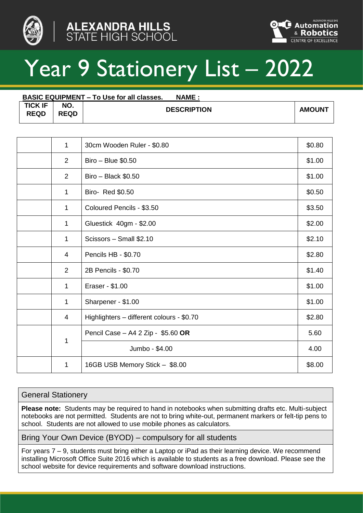





# Year 9 Stationery List - 2022

| <b>BASIC EQUIPMENT – To Use for all classes.</b><br><b>NAME:</b> |                    |                    |               |  |
|------------------------------------------------------------------|--------------------|--------------------|---------------|--|
| <b>TICK IF</b><br><b>REQD</b>                                    | NO.<br><b>REQD</b> | <b>DESCRIPTION</b> | <b>AMOUNT</b> |  |

| 1              | 30cm Wooden Ruler - \$0.80                | \$0.80 |
|----------------|-------------------------------------------|--------|
| 2              | Biro - Blue \$0.50                        | \$1.00 |
| 2              | $Biro - Black $0.50$                      | \$1.00 |
| 1              | Biro- Red \$0.50                          | \$0.50 |
| 1              | Coloured Pencils - \$3.50                 | \$3.50 |
| 1              | Gluestick 40gm - \$2.00                   | \$2.00 |
| 1              | Scissors - Small \$2.10                   | \$2.10 |
| 4              | Pencils HB - \$0.70                       | \$2.80 |
| $\overline{2}$ | 2B Pencils - \$0.70                       | \$1.40 |
| 1              | Eraser - \$1.00                           | \$1.00 |
| 1              | Sharpener - \$1.00                        | \$1.00 |
| 4              | Highlighters - different colours - \$0.70 | \$2.80 |
|                | Pencil Case - A4 2 Zip - \$5.60 OR        | 5.60   |
| 1              | Jumbo - \$4.00                            | 4.00   |
| 1              | 16GB USB Memory Stick - \$8.00            | \$8.00 |

#### General Stationery

**Please note:** Students may be required to hand in notebooks when submitting drafts etc. Multi-subject notebooks are not permitted. Students are not to bring white-out, permanent markers or felt-tip pens to school. Students are not allowed to use mobile phones as calculators.

Bring Your Own Device (BYOD) – compulsory for all students

For years 7 – 9, students must bring either a Laptop or iPad as their learning device. We recommend installing Microsoft Office Suite 2016 which is available to students as a free download. Please see the school website for device requirements and software download instructions.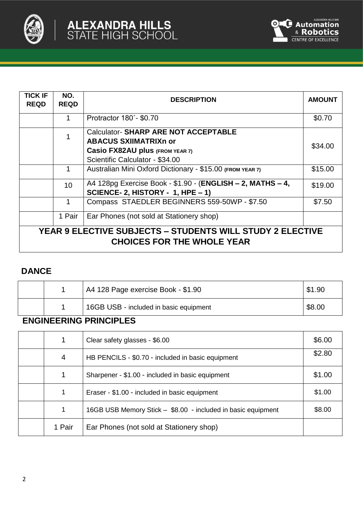



| TICK IF<br><b>REQD</b>                                                                                | NO.<br><b>REQD</b> | <b>DESCRIPTION</b>                                                                                                                               | <b>AMOUNT</b> |
|-------------------------------------------------------------------------------------------------------|--------------------|--------------------------------------------------------------------------------------------------------------------------------------------------|---------------|
|                                                                                                       |                    | Protractor 180°- \$0.70                                                                                                                          | \$0.70        |
|                                                                                                       |                    | <b>Calculator-SHARP ARE NOT ACCEPTABLE</b><br><b>ABACUS SXIIMATRIX nor</b><br>Casio FX82AU plus (FROM YEAR 7)<br>Scientific Calculator - \$34.00 | \$34.00       |
|                                                                                                       |                    | Australian Mini Oxford Dictionary - \$15.00 (FROM YEAR 7)                                                                                        | \$15.00       |
|                                                                                                       | 10                 | A4 128pg Exercise Book - \$1.90 - (ENGLISH - 2, MATHS - 4,<br>SCIENCE- 2, HISTORY - 1, HPE - 1)                                                  | \$19.00       |
|                                                                                                       |                    | Compass STAEDLER BEGINNERS 559-50WP - \$7.50                                                                                                     | \$7.50        |
|                                                                                                       | 1 Pair             | Ear Phones (not sold at Stationery shop)                                                                                                         |               |
| <b>YEAR 9 ELECTIVE SUBJECTS - STUDENTS WILL STUDY 2 ELECTIVE</b><br><b>CHOICES FOR THE WHOLE YEAR</b> |                    |                                                                                                                                                  |               |

# **DANCE**

|  | A4 128 Page exercise Book - \$1.90     | \$1.90 |
|--|----------------------------------------|--------|
|  | 16GB USB - included in basic equipment | \$8.00 |

# **ENGINEERING PRINCIPLES**

| 1      | Clear safety glasses - \$6.00                                | \$6.00 |
|--------|--------------------------------------------------------------|--------|
| 4      | HB PENCILS - \$0.70 - included in basic equipment            | \$2.80 |
| 1      | Sharpener - \$1.00 - included in basic equipment             | \$1.00 |
| 1      | Eraser - \$1.00 - included in basic equipment                | \$1.00 |
| 1      | 16GB USB Memory Stick - \$8.00 - included in basic equipment | \$8.00 |
| 1 Pair | Ear Phones (not sold at Stationery shop)                     |        |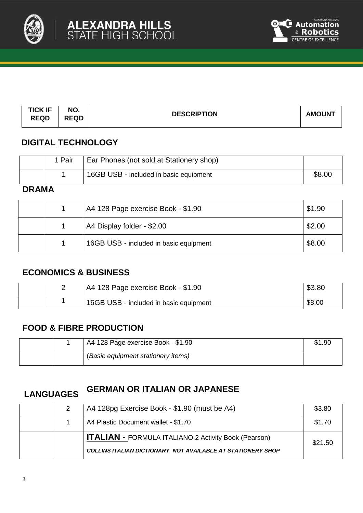



| <b>TICK IF</b><br><b>REQD</b> | NO.<br><b>REQD</b> | <b>DESCRIPTION</b> | <b>AMOUNT</b> |
|-------------------------------|--------------------|--------------------|---------------|
|                               |                    |                    |               |

## **DIGITAL TECHNOLOGY**

| . Pair | Ear Phones (not sold at Stationery shop) |        |
|--------|------------------------------------------|--------|
|        | 16GB USB - included in basic equipment   | \$8.00 |

### **DRAMA**

|  | A4 128 Page exercise Book - \$1.90     | \$1.90 |
|--|----------------------------------------|--------|
|  | A4 Display folder - \$2.00             | \$2.00 |
|  | 16GB USB - included in basic equipment | \$8.00 |

### **ECONOMICS & BUSINESS**

|  | <sup>1</sup> A4 128 Page exercise Book - \$1.90 | \$3.80 |
|--|-------------------------------------------------|--------|
|  | 16GB USB - included in basic equipment          | \$8.00 |

### **FOOD & FIBRE PRODUCTION**

|  | A4 128 Page exercise Book - \$1.90 | \$1.90 |
|--|------------------------------------|--------|
|  | (Basic equipment stationery items) |        |

# **LANGUAGES GERMAN OR ITALIAN OR JAPANESE**

|  | A4 128pg Exercise Book - \$1.90 (must be A4)                | \$3.80  |
|--|-------------------------------------------------------------|---------|
|  | A4 Plastic Document wallet - \$1.70                         | \$1.70  |
|  | <b>ITALIAN - FORMULA ITALIANO 2 Activity Book (Pearson)</b> | \$21.50 |
|  | COLLINS ITALIAN DICTIONARY NOT AVAILABLE AT STATIONERY SHOP |         |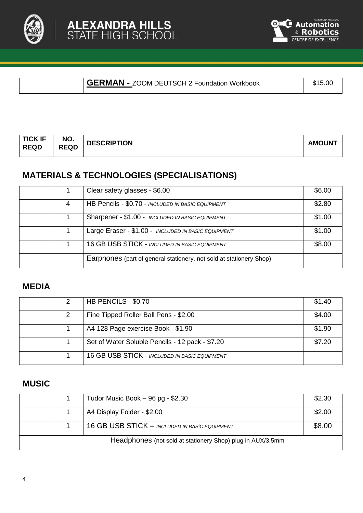



### **GERMAN** - ZOOM DEUTSCH 2 Foundation Workbook | \$15.00

| <b>TICK IF</b> | NO.         | <b>DESCRIPTION</b> | <b>AMOUNT</b> |
|----------------|-------------|--------------------|---------------|
| <b>REQD</b>    | <b>REQD</b> |                    |               |

### **MATERIALS & TECHNOLOGIES (SPECIALISATIONS)**

|   | Clear safety glasses - \$6.00                                       | \$6.00 |
|---|---------------------------------------------------------------------|--------|
| 4 | HB Pencils - \$0.70 - INCLUDED IN BASIC EQUIPMENT                   | \$2.80 |
|   | Sharpener - \$1.00 - INCLUDED IN BASIC EQUIPMENT                    | \$1.00 |
|   | Large Eraser - \$1.00 - INCLUDED IN BASIC EQUIPMENT                 | \$1.00 |
|   | 16 GB USB STICK - INCLUDED IN BASIC EQUIPMENT                       | \$8.00 |
|   | Earphones (part of general stationery, not sold at stationery Shop) |        |

# **MEDIA**

|  | HB PENCILS - \$0.70                             | \$1.40 |
|--|-------------------------------------------------|--------|
|  | Fine Tipped Roller Ball Pens - \$2.00           | \$4.00 |
|  | A4 128 Page exercise Book - \$1.90              | \$1.90 |
|  | Set of Water Soluble Pencils - 12 pack - \$7.20 | \$7.20 |
|  | 16 GB USB STICK - INCLUDED IN BASIC EQUIPMENT   |        |

### **MUSIC**

|  | Tudor Music Book $-96$ pg - \$2.30                         | \$2.30 |
|--|------------------------------------------------------------|--------|
|  | A4 Display Folder - \$2.00                                 | \$2.00 |
|  | 16 GB USB STICK - INCLUDED IN BASIC EQUIPMENT              | \$8.00 |
|  | Headphones (not sold at stationery Shop) plug in AUX/3.5mm |        |